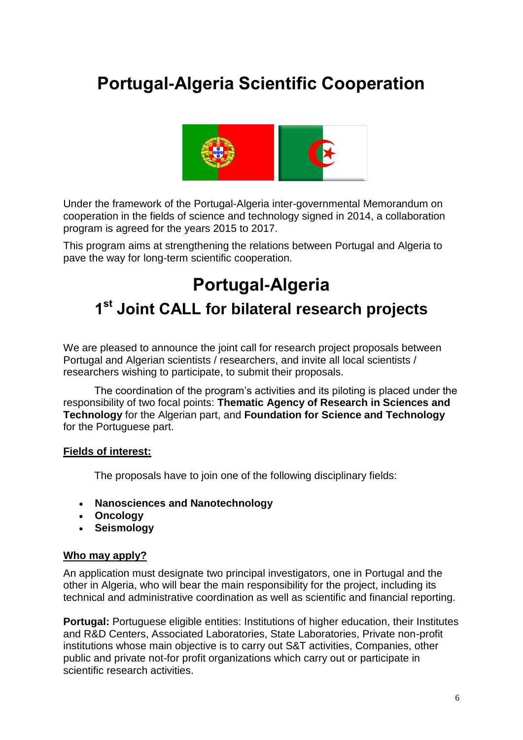# **Portugal-Algeria Scientific Cooperation**



Under the framework of the Portugal-Algeria inter-governmental Memorandum on cooperation in the fields of science and technology signed in 2014, a collaboration program is agreed for the years 2015 to 2017.

This program aims at strengthening the relations between Portugal and Algeria to pave the way for long-term scientific cooperation.

# **Portugal-Algeria 1 st Joint CALL for bilateral research projects**

We are pleased to announce the joint call for research project proposals between Portugal and Algerian scientists / researchers, and invite all local scientists / researchers wishing to participate, to submit their proposals.

The coordination of the program's activities and its piloting is placed under the responsibility of two focal points: **Thematic Agency of Research in Sciences and Technology** for the Algerian part, and **Foundation for Science and Technology** for the Portuguese part.

#### **Fields of interest:**

The proposals have to join one of the following disciplinary fields:

- **Nanosciences and Nanotechnology**
- **Oncology**
- **Seismology**

#### **Who may apply?**

An application must designate two principal investigators, one in Portugal and the other in Algeria, who will bear the main responsibility for the project, including its technical and administrative coordination as well as scientific and financial reporting.

**Portugal:** Portuguese eligible entities: Institutions of higher education, their Institutes and R&D Centers, Associated Laboratories, State Laboratories, Private non-profit institutions whose main objective is to carry out S&T activities, Companies, other public and private not-for profit organizations which carry out or participate in scientific research activities.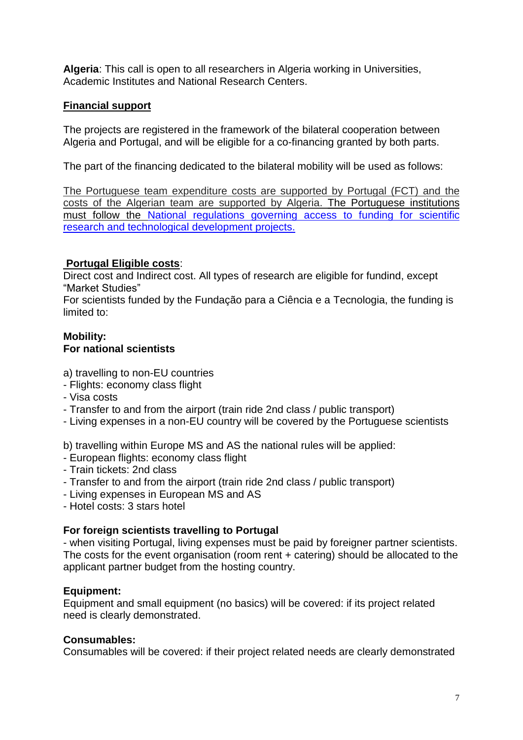**Algeria**: This call is open to all researchers in Algeria working in Universities, Academic Institutes and National Research Centers.

# **Financial support**

The projects are registered in the framework of the bilateral cooperation between Algeria and Portugal, and will be eligible for a co-financing granted by both parts.

The part of the financing dedicated to the bilateral mobility will be used as follows:

The Portuguese team expenditure costs are supported by Portugal (FCT) and the costs of the Algerian team are supported by Algeria. The Portuguese institutions must follow the [National regulations governing access to funding for scientific](http://www.fct.pt/apoios/projectos/regulamento.phtml.en)  [research and technological development projects.](http://www.fct.pt/apoios/projectos/regulamento.phtml.en)

## **Portugal Eligible costs**:

Direct cost and Indirect cost. All types of research are eligible for fundind, except "Market Studies"

For scientists funded by the Fundação para a Ciência e a Tecnologia, the funding is limited to:

#### **Mobility: For national scientists**

a) travelling to non-EU countries

- Flights: economy class flight
- Visa costs
- Transfer to and from the airport (train ride 2nd class / public transport)
- Living expenses in a non-EU country will be covered by the Portuguese scientists

b) travelling within Europe MS and AS the national rules will be applied:

- European flights: economy class flight
- Train tickets: 2nd class
- Transfer to and from the airport (train ride 2nd class / public transport)
- Living expenses in European MS and AS
- Hotel costs: 3 stars hotel

## **For foreign scientists travelling to Portugal**

- when visiting Portugal, living expenses must be paid by foreigner partner scientists. The costs for the event organisation (room rent + catering) should be allocated to the applicant partner budget from the hosting country.

## **Equipment:**

Equipment and small equipment (no basics) will be covered: if its project related need is clearly demonstrated.

## **Consumables:**

Consumables will be covered: if their project related needs are clearly demonstrated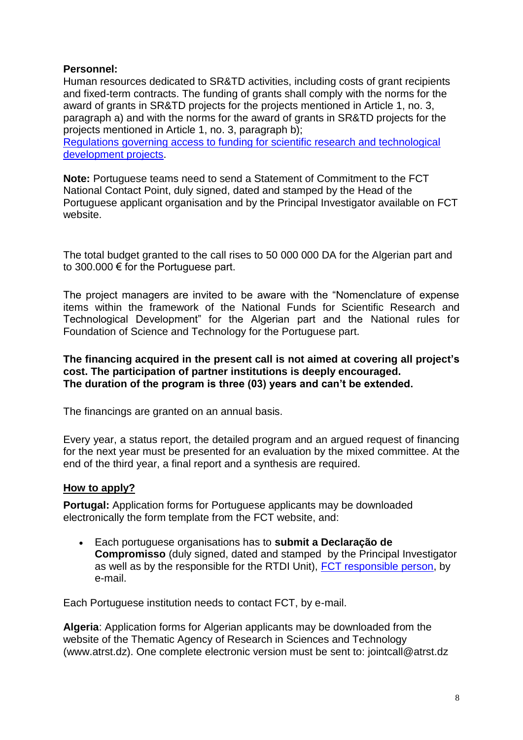#### **Personnel:**

Human resources dedicated to SR&TD activities, including costs of grant recipients and fixed-term contracts. The funding of grants shall comply with the norms for the award of grants in SR&TD projects for the projects mentioned in Article 1, no. 3, paragraph a) and with the norms for the award of grants in SR&TD projects for the projects mentioned in Article 1, no. 3, paragraph b);

[Regulations governing access to funding for scientific research and technological](http://www.fct.pt/apoios/projectos/regulamento.phtml.en)  [development projects.](http://www.fct.pt/apoios/projectos/regulamento.phtml.en)

**Note:** Portuguese teams need to send a Statement of Commitment to the FCT National Contact Point, duly signed, dated and stamped by the Head of the Portuguese applicant organisation and by the Principal Investigator available on FCT website.

The total budget granted to the call rises to 50 000 000 DA for the Algerian part and to 300.000 € for the Portuguese part.

The project managers are invited to be aware with the "Nomenclature of expense items within the framework of the National Funds for Scientific Research and Technological Development" for the Algerian part and the National rules for Foundation of Science and Technology for the Portuguese part.

#### **The financing acquired in the present call is not aimed at covering all project's cost. The participation of partner institutions is deeply encouraged. The duration of the program is three (03) years and can't be extended.**

The financings are granted on an annual basis.

Every year, a status report, the detailed program and an argued request of financing for the next year must be presented for an evaluation by the mixed committee. At the end of the third year, a final report and a synthesis are required.

## **How to apply?**

**Portugal:** Application forms for Portuguese applicants may be downloaded electronically the form template from the FCT website, and:

 Each portuguese organisations has to **submit a Declaração de Compromisso** (duly signed, dated and stamped by the Principal Investigator as well as by the responsible for the RTDI Unit), [FCT responsible person,](mailto:Isabel.Figueiredo@fct.pt) by e-mail.

Each Portuguese institution needs to contact FCT, by e-mail.

**Algeria**: Application forms for Algerian applicants may be downloaded from the website of the Thematic Agency of Research in Sciences and Technology (www.atrst.dz). One complete electronic version must be sent to: jointcall@atrst.dz